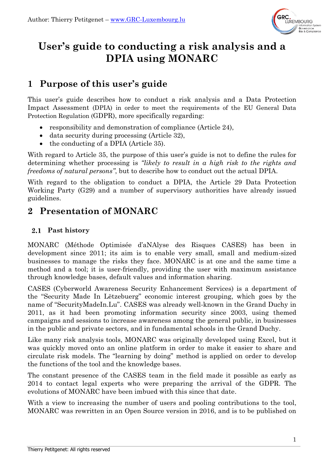

# **User's guide to conducting a risk analysis and a DPIA using MONARC**

# **1 Purpose of this user's guide**

This user's guide describes how to conduct a risk analysis and a Data Protection Impact Assessment (DPIA) in order to meet the requirements of the EU General Data Protection Regulation (GDPR), more specifically regarding:

- responsibility and demonstration of compliance (Article 24),
- data security during processing (Article 32),
- the conducting of a DPIA (Article 35).

With regard to Article 35, the purpose of this user's guide is not to define the rules for determining whether processing is *"likely to result in a high risk to the rights and freedoms of natural persons"*, but to describe how to conduct out the actual DPIA.

With regard to the obligation to conduct a DPIA, the Article 29 Data Protection Working Party (G29) and a number of supervisory authorities have already issued guidelines.

# **2 Presentation of MONARC**

## **Past history**

MONARC (Méthode Optimisée d'aNAlyse des Risques CASES) has been in development since 2011; its aim is to enable very small, small and medium-sized businesses to manage the risks they face. MONARC is at one and the same time a method and a tool; it is user-friendly, providing the user with maximum assistance through knowledge bases, default values and information sharing.

CASES (Cyberworld Awareness Security Enhancement Services) is a department of the "Security Made In Lëtzebuerg" economic interest grouping, which goes by the name of "SecurityMadeIn.Lu". CASES was already well-known in the Grand Duchy in 2011, as it had been promoting information security since 2003, using themed campaigns and sessions to increase awareness among the general public, in businesses in the public and private sectors, and in fundamental schools in the Grand Duchy.

Like many risk analysis tools, MONARC was originally developed using Excel, but it was quickly moved onto an online platform in order to make it easier to share and circulate risk models. The "learning by doing" method is applied on order to develop the functions of the tool and the knowledge bases.

The constant presence of the CASES team in the field made it possible as early as 2014 to contact legal experts who were preparing the arrival of the GDPR. The evolutions of MONARC have been imbued with this since that date.

With a view to increasing the number of users and pooling contributions to the tool, MONARC was rewritten in an Open Source version in 2016, and is to be published on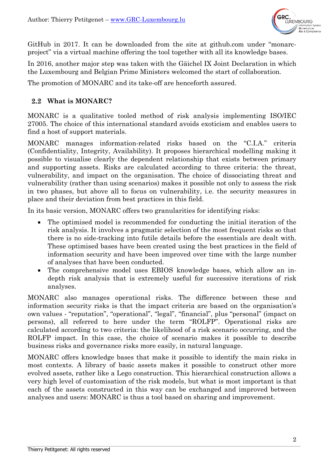

GitHub in 2017. It can be downloaded from the site at github.com under "monarcproject" via a virtual machine offering the tool together with all its knowledge bases.

In 2016, another major step was taken with the Gäichel IX Joint Declaration in which the Luxembourg and Belgian Prime Ministers welcomed the start of collaboration*.*

The promotion of MONARC and its take-off are henceforth assured.

#### **What is MONARC?**

MONARC is a qualitative tooled method of risk analysis implementing ISO/IEC 27005. The choice of this international standard avoids exoticism and enables users to find a host of support materials.

MONARC manages information-related risks based on the "C.I.A." criteria (Confidentiality, Integrity, Availability). It proposes hierarchical modelling making it possible to visualise clearly the dependent relationship that exists between primary and supporting assets. Risks are calculated according to three criteria: the threat, vulnerability, and impact on the organisation. The choice of dissociating threat and vulnerability (rather than using scenarios) makes it possible not only to assess the risk in two phases, but above all to focus on vulnerability, i.e. the security measures in place and their deviation from best practices in this field.

In its basic version, MONARC offers two granularities for identifying risks:

- The optimised model is recommended for conducting the initial iteration of the risk analysis. It involves a pragmatic selection of the most frequent risks so that there is no side-tracking into futile details before the essentials are dealt with. These optimised bases have been created using the best practices in the field of information security and have been improved over time with the large number of analyses that have been conducted.
- The comprehensive model uses EBIOS knowledge bases, which allow an indepth risk analysis that is extremely useful for successive iterations of risk analyses.

MONARC also manages operational risks. The difference between these and information security risks is that the impact criteria are based on the organisation's own values - "reputation", "operational", "legal", "financial", plus "personal" (impact on persons), all referred to here under the term "ROLFP". Operational risks are calculated according to two criteria: the likelihood of a risk scenario occurring, and the ROLFP impact. In this case, the choice of scenario makes it possible to describe business risks and governance risks more easily, in natural language.

MONARC offers knowledge bases that make it possible to identify the main risks in most contexts. A library of basic assets makes it possible to construct other more evolved assets, rather like a Lego construction. This hierarchical construction allows a very high level of customisation of the risk models, but what is most important is that each of the assets constructed in this way can be exchanged and improved between analyses and users: MONARC is thus a tool based on sharing and improvement.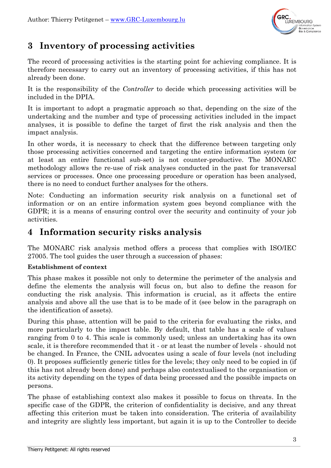

# **3 Inventory of processing activities**

The record of processing activities is the starting point for achieving compliance. It is therefore necessary to carry out an inventory of processing activities, if this has not already been done.

It is the responsibility of the *Controller* to decide which processing activities will be included in the DPIA.

It is important to adopt a pragmatic approach so that, depending on the size of the undertaking and the number and type of processing activities included in the impact analyses, it is possible to define the target of first the risk analysis and then the impact analysis.

In other words, it is necessary to check that the difference between targeting only those processing activities concerned and targeting the entire information system (or at least an entire functional sub-set) is not counter-productive. The MONARC methodology allows the re-use of risk analyses conducted in the past for transversal services or processes. Once one processing procedure or operation has been analysed, there is no need to conduct further analyses for the others.

Note: Conducting an information security risk analysis on a functional set of information or on an entire information system goes beyond compliance with the GDPR; it is a means of ensuring control over the security and continuity of your job activities.

## **4 Information security risks analysis**

The MONARC risk analysis method offers a process that complies with ISO/IEC 27005. The tool guides the user through a succession of phases:

### **Establishment of context**

This phase makes it possible not only to determine the perimeter of the analysis and define the elements the analysis will focus on, but also to define the reason for conducting the risk analysis. This information is crucial, as it affects the entire analysis and above all the use that is to be made of it (see below in the paragraph on the identification of assets).

During this phase, attention will be paid to the criteria for evaluating the risks, and more particularly to the impact table. By default, that table has a scale of values ranging from 0 to 4. This scale is commonly used; unless an undertaking has its own scale, it is therefore recommended that it - or at least the number of levels - should not be changed. In France, the CNIL advocates using a scale of four levels (not including 0). It proposes sufficiently generic titles for the levels; they only need to be copied in (if this has not already been done) and perhaps also contextualised to the organisation or its activity depending on the types of data being processed and the possible impacts on persons.

The phase of establishing context also makes it possible to focus on threats. In the specific case of the GDPR, the criterion of confidentiality is decisive, and any threat affecting this criterion must be taken into consideration. The criteria of availability and integrity are slightly less important, but again it is up to the Controller to decide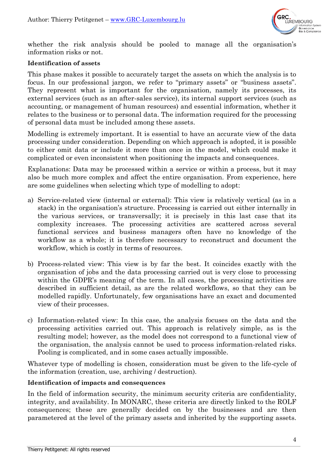

whether the risk analysis should be pooled to manage all the organisation's information risks or not.

#### **Identification of assets**

This phase makes it possible to accurately target the assets on which the analysis is to focus. In our professional jargon, we refer to "primary assets" or "business assets". They represent what is important for the organisation, namely its processes, its external services (such as an after-sales service), its internal support services (such as accounting, or management of human resources) and essential information, whether it relates to the business or to personal data. The information required for the processing of personal data must be included among these assets.

Modelling is extremely important. It is essential to have an accurate view of the data processing under consideration. Depending on which approach is adopted, it is possible to either omit data or include it more than once in the model, which could make it complicated or even inconsistent when positioning the impacts and consequences.

Explanations: Data may be processed within a service or within a process, but it may also be much more complex and affect the entire organisation. From experience, here are some guidelines when selecting which type of modelling to adopt:

- a) Service-related view (internal or external): This view is relatively vertical (as in a stack) in the organisation's structure. Processing is carried out either internally in the various services, or transversally; it is precisely in this last case that its complexity increases. The processing activities are scattered across several functional services and business managers often have no knowledge of the workflow as a whole; it is therefore necessary to reconstruct and document the workflow, which is costly in terms of resources.
- b) Process-related view: This view is by far the best. It coincides exactly with the organisation of jobs and the data processing carried out is very close to processing within the GDPR's meaning of the term. In all cases, the processing activities are described in sufficient detail, as are the related workflows, so that they can be modelled rapidly. Unfortunately, few organisations have an exact and documented view of their processes.
- c) Information-related view: In this case, the analysis focuses on the data and the processing activities carried out. This approach is relatively simple, as is the resulting model; however, as the model does not correspond to a functional view of the organisation, the analysis cannot be used to process information-related risks. Pooling is complicated, and in some cases actually impossible.

Whatever type of modelling is chosen, consideration must be given to the life-cycle of the information (creation, use, archiving / destruction).

#### **Identification of impacts and consequences**

In the field of information security, the minimum security criteria are confidentiality, integrity, and availability. In MONARC, these criteria are directly linked to the ROLF consequences; these are generally decided on by the businesses and are then parametered at the level of the primary assets and inherited by the supporting assets.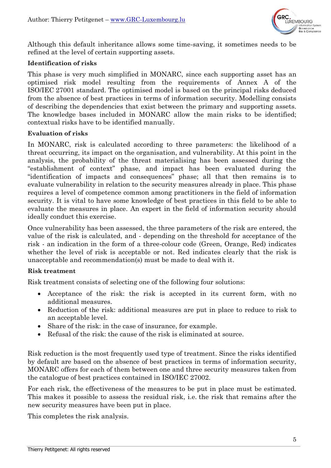

Although this default inheritance allows some time-saving, it sometimes needs to be refined at the level of certain supporting assets.

#### **Identification of risks**

This phase is very much simplified in MONARC, since each supporting asset has an optimised risk model resulting from the requirements of Annex A of the ISO/IEC 27001 standard. The optimised model is based on the principal risks deduced from the absence of best practices in terms of information security. Modelling consists of describing the dependencies that exist between the primary and supporting assets. The knowledge bases included in MONARC allow the main risks to be identified; contextual risks have to be identified manually.

#### **Evaluation of risks**

In MONARC, risk is calculated according to three parameters: the likelihood of a threat occurring, its impact on the organisation, and vulnerability. At this point in the analysis, the probability of the threat materialising has been assessed during the "establishment of context" phase, and impact has been evaluated during the "identification of impacts and consequences" phase; all that then remains is to evaluate vulnerability in relation to the security measures already in place. This phase requires a level of competence common among practitioners in the field of information security. It is vital to have some knowledge of best practices in this field to be able to evaluate the measures in place. An expert in the field of information security should ideally conduct this exercise.

Once vulnerability has been assessed, the three parameters of the risk are entered, the value of the risk is calculated, and - depending on the threshold for acceptance of the risk - an indication in the form of a three-colour code (Green, Orange, Red) indicates whether the level of risk is acceptable or not. Red indicates clearly that the risk is unacceptable and recommendation(s) must be made to deal with it.

#### **Risk treatment**

Risk treatment consists of selecting one of the following four solutions:

- Acceptance of the risk: the risk is accepted in its current form, with no additional measures.
- Reduction of the risk: additional measures are put in place to reduce to risk to an acceptable level.
- Share of the risk: in the case of insurance, for example.
- Refusal of the risk: the cause of the risk is eliminated at source.

Risk reduction is the most frequently used type of treatment. Since the risks identified by default are based on the absence of best practices in terms of information security, MONARC offers for each of them between one and three security measures taken from the catalogue of best practices contained in ISO/IEC 27002.

For each risk, the effectiveness of the measures to be put in place must be estimated. This makes it possible to assess the residual risk, i.e. the risk that remains after the new security measures have been put in place.

This completes the risk analysis.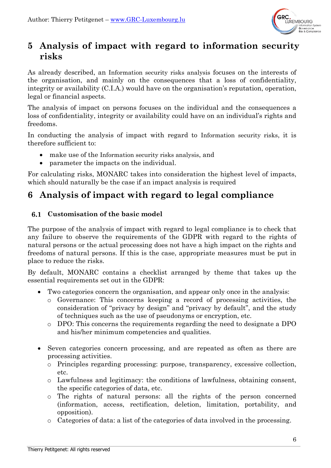

# **5 Analysis of impact with regard to information security risks**

As already described, an Information security risks analysis focuses on the interests of the organisation, and mainly on the consequences that a loss of confidentiality, integrity or availability (C.I.A.) would have on the organisation's reputation, operation, legal or financial aspects.

The analysis of impact on persons focuses on the individual and the consequences a loss of confidentiality, integrity or availability could have on an individual's rights and freedoms.

In conducting the analysis of impact with regard to Information security risks, it is therefore sufficient to:

- make use of the Information security risks analysis, and
- parameter the impacts on the individual.

For calculating risks, MONARC takes into consideration the highest level of impacts, which should naturally be the case if an impact analysis is required

# **6 Analysis of impact with regard to legal compliance**

### **Customisation of the basic model**

The purpose of the analysis of impact with regard to legal compliance is to check that any failure to observe the requirements of the GDPR with regard to the rights of natural persons or the actual processing does not have a high impact on the rights and freedoms of natural persons. If this is the case, appropriate measures must be put in place to reduce the risks.

By default, MONARC contains a checklist arranged by theme that takes up the essential requirements set out in the GDPR:

- Two categories concern the organisation, and appear only once in the analysis:
	- o Governance: This concerns keeping a record of processing activities, the consideration of "privacy by design" and "privacy by default", and the study of techniques such as the use of pseudonyms or encryption, etc.
	- o DPO: This concerns the requirements regarding the need to designate a DPO and his/her minimum competencies and qualities.
- Seven categories concern processing, and are repeated as often as there are processing activities.
	- o Principles regarding processing: purpose, transparency, excessive collection, etc.
	- o Lawfulness and legitimacy: the conditions of lawfulness, obtaining consent, the specific categories of data, etc.
	- o The rights of natural persons: all the rights of the person concerned (information, access, rectification, deletion, limitation, portability, and opposition).
	- o Categories of data: a list of the categories of data involved in the processing.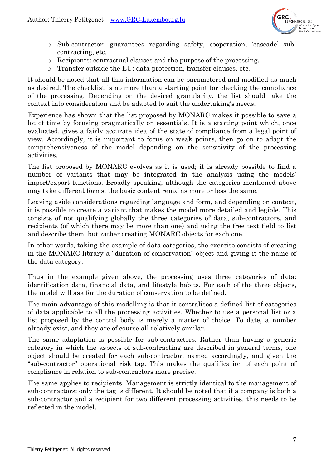

- o Sub-contractor: guarantees regarding safety, cooperation, 'cascade' subcontracting, etc.
- o Recipients: contractual clauses and the purpose of the processing.
- o Transfer outside the EU: data protection, transfer clauses, etc.

It should be noted that all this information can be parametered and modified as much as desired. The checklist is no more than a starting point for checking the compliance of the processing. Depending on the desired granularity, the list should take the context into consideration and be adapted to suit the undertaking's needs.

Experience has shown that the list proposed by MONARC makes it possible to save a lot of time by focusing pragmatically on essentials. It is a starting point which, once evaluated, gives a fairly accurate idea of the state of compliance from a legal point of view. Accordingly, it is important to focus on weak points, then go on to adapt the comprehensiveness of the model depending on the sensitivity of the processing activities.

The list proposed by MONARC evolves as it is used; it is already possible to find a number of variants that may be integrated in the analysis using the models' import/export functions. Broadly speaking, although the categories mentioned above may take different forms, the basic content remains more or less the same.

Leaving aside considerations regarding language and form, and depending on context, it is possible to create a variant that makes the model more detailed and legible. This consists of not qualifying globally the three categories of data, sub-contractors, and recipients (of which there may be more than one) and using the free text field to list and describe them, but rather creating MONARC objects for each one.

In other words, taking the example of data categories, the exercise consists of creating in the MONARC library a "duration of conservation" object and giving it the name of the data category.

Thus in the example given above, the processing uses three categories of data: identification data, financial data, and lifestyle habits. For each of the three objects, the model will ask for the duration of conservation to be defined.

The main advantage of this modelling is that it centralises a defined list of categories of data applicable to all the processing activities. Whether to use a personal list or a list proposed by the control body is merely a matter of choice. To date, a number already exist, and they are of course all relatively similar.

The same adaptation is possible for sub-contractors. Rather than having a generic category in which the aspects of sub-contracting are described in general terms, one object should be created for each sub-contractor, named accordingly, and given the "sub-contractor" operational risk tag. This makes the qualification of each point of compliance in relation to sub-contractors more precise.

The same applies to recipients. Management is strictly identical to the management of sub-contractors: only the tag is different. It should be noted that if a company is both a sub-contractor and a recipient for two different processing activities, this needs to be reflected in the model.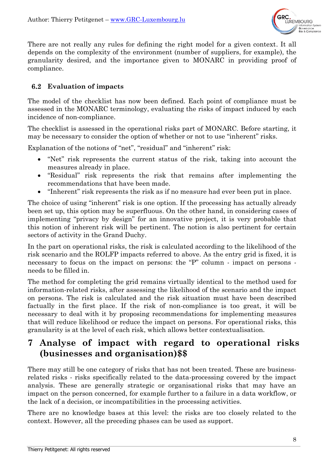

There are not really any rules for defining the right model for a given context. It all depends on the complexity of the environment (number of suppliers, for example), the granularity desired, and the importance given to MONARC in providing proof of compliance.

#### **Evaluation of impacts**

The model of the checklist has now been defined. Each point of compliance must be assessed in the MONARC terminology, evaluating the risks of impact induced by each incidence of non-compliance.

The checklist is assessed in the operational risks part of MONARC. Before starting, it may be necessary to consider the option of whether or not to use "inherent" risks.

Explanation of the notions of "net", "residual" and "inherent" risk:

- "Net" risk represents the current status of the risk, taking into account the measures already in place.
- "Residual" risk represents the risk that remains after implementing the recommendations that have been made.
- "Inherent" risk represents the risk as if no measure had ever been put in place.

The choice of using "inherent" risk is one option. If the processing has actually already been set up, this option may be superfluous. On the other hand, in considering cases of implementing "privacy by design" for an innovative project, it is very probable that this notion of inherent risk will be pertinent. The notion is also pertinent for certain sectors of activity in the Grand Duchy.

In the part on operational risks, the risk is calculated according to the likelihood of the risk scenario and the ROLFP impacts referred to above. As the entry grid is fixed, it is necessary to focus on the impact on persons: the "P" column - impact on persons needs to be filled in.

The method for completing the grid remains virtually identical to the method used for information-related risks, after assessing the likelihood of the scenario and the impact on persons. The risk is calculated and the risk situation must have been described factually in the first place. If the risk of non-compliance is too great, it will be necessary to deal with it by proposing recommendations for implementing measures that will reduce likelihood or reduce the impact on persons. For operational risks, this granularity is at the level of each risk, which allows better contextualisation.

# **7 Analyse of impact with regard to operational risks (businesses and organisation)\$\$**

There may still be one category of risks that has not been treated. These are businessrelated risks - risks specifically related to the data-processing covered by the impact analysis. These are generally strategic or organisational risks that may have an impact on the person concerned, for example further to a failure in a data workflow, or the lack of a decision, or incompatibilities in the processing activities.

There are no knowledge bases at this level: the risks are too closely related to the context. However, all the preceding phases can be used as support.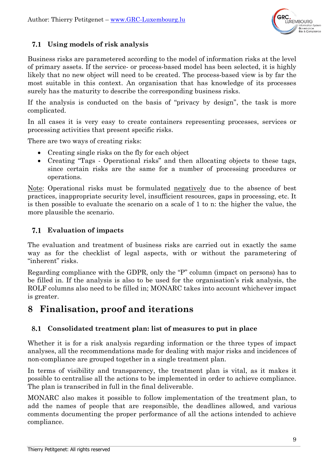

## **Using models of risk analysis**

Business risks are parametered according to the model of information risks at the level of primary assets. If the service- or process-based model has been selected, it is highly likely that no new object will need to be created. The process-based view is by far the most suitable in this context. An organisation that has knowledge of its processes surely has the maturity to describe the corresponding business risks.

If the analysis is conducted on the basis of "privacy by design", the task is more complicated.

In all cases it is very easy to create containers representing processes, services or processing activities that present specific risks.

There are two ways of creating risks:

- Creating single risks on the fly for each object
- Creating "Tags Operational risks" and then allocating objects to these tags, since certain risks are the same for a number of processing procedures or operations.

Note: Operational risks must be formulated negatively due to the absence of best practices, inappropriate security level, insufficient resources, gaps in processing, etc. It is then possible to evaluate the scenario on a scale of 1 to n: the higher the value, the more plausible the scenario.

## **Evaluation of impacts**

The evaluation and treatment of business risks are carried out in exactly the same way as for the checklist of legal aspects, with or without the parametering of "inherent" risks.

Regarding compliance with the GDPR, only the "P" column (impact on persons) has to be filled in. If the analysis is also to be used for the organisation's risk analysis, the ROLF columns also need to be filled in; MONARC takes into account whichever impact is greater.

# **8 Finalisation, proof and iterations**

#### 8.1 **Consolidated treatment plan: list of measures to put in place**

Whether it is for a risk analysis regarding information or the three types of impact analyses, all the recommendations made for dealing with major risks and incidences of non-compliance are grouped together in a single treatment plan.

In terms of visibility and transparency, the treatment plan is vital, as it makes it possible to centralise all the actions to be implemented in order to achieve compliance. The plan is transcribed in full in the final deliverable.

MONARC also makes it possible to follow implementation of the treatment plan, to add the names of people that are responsible, the deadlines allowed, and various comments documenting the proper performance of all the actions intended to achieve compliance.